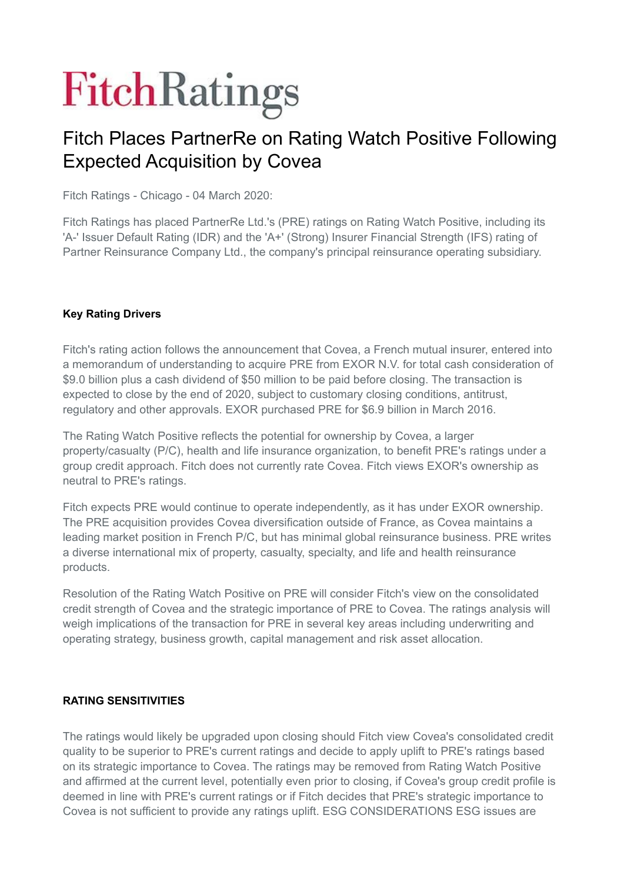# **FitchRatings**

# Fitch Places PartnerRe on Rating Watch Positive Following Expected Acquisition by Covea

Fitch Ratings - Chicago - 04 March 2020:

Fitch Ratings has placed PartnerRe Ltd.'s (PRE) ratings on Rating Watch Positive, including its 'A-' Issuer Default Rating (IDR) and the 'A+' (Strong) Insurer Financial Strength (IFS) rating of Partner Reinsurance Company Ltd., the company's principal reinsurance operating subsidiary.

#### **Key Rating Drivers**

Fitch's rating action follows the announcement that Covea, a French mutual insurer, entered into a memorandum of understanding to acquire PRE from EXOR N.V. for total cash consideration of \$9.0 billion plus a cash dividend of \$50 million to be paid before closing. The transaction is expected to close by the end of 2020, subject to customary closing conditions, antitrust, regulatory and other approvals. EXOR purchased PRE for \$6.9 billion in March 2016.

The Rating Watch Positive reflects the potential for ownership by Covea, a larger property/casualty (P/C), health and life insurance organization, to benefit PRE's ratings under a group credit approach. Fitch does not currently rate Covea. Fitch views EXOR's ownership as neutral to PRE's ratings.

Fitch expects PRE would continue to operate independently, as it has under EXOR ownership. The PRE acquisition provides Covea diversification outside of France, as Covea maintains a leading market position in French P/C, but has minimal global reinsurance business. PRE writes a diverse international mix of property, casualty, specialty, and life and health reinsurance products.

Resolution of the Rating Watch Positive on PRE will consider Fitch's view on the consolidated credit strength of Covea and the strategic importance of PRE to Covea. The ratings analysis will weigh implications of the transaction for PRE in several key areas including underwriting and operating strategy, business growth, capital management and risk asset allocation.

#### **RATING SENSITIVITIES**

The ratings would likely be upgraded upon closing should Fitch view Covea's consolidated credit quality to be superior to PRE's current ratings and decide to apply uplift to PRE's ratings based on its strategic importance to Covea. The ratings may be removed from Rating Watch Positive and affirmed at the current level, potentially even prior to closing, if Covea's group credit profile is deemed in line with PRE's current ratings or if Fitch decides that PRE's strategic importance to Covea is not sufficient to provide any ratings uplift. ESG CONSIDERATIONS ESG issues are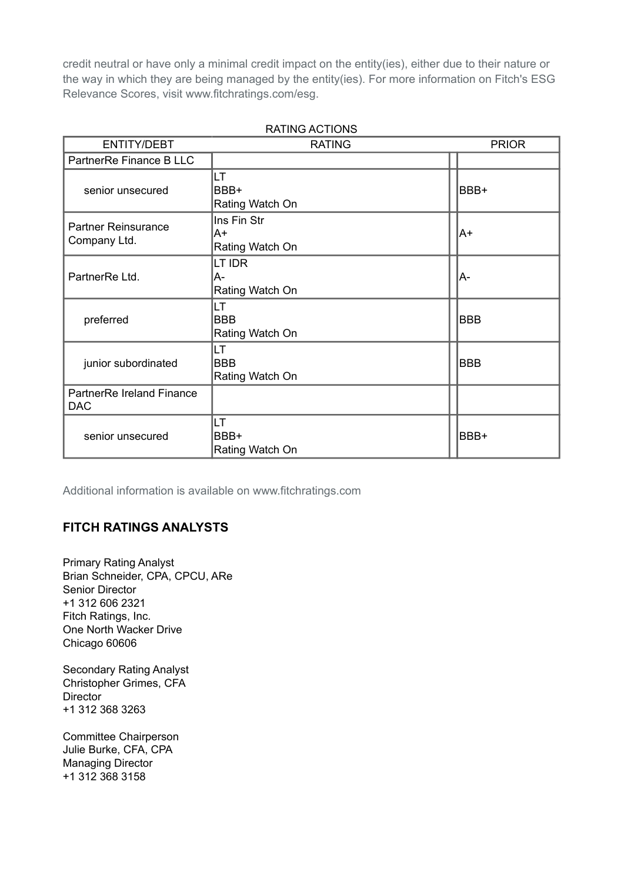credit neutral or have only a minimal credit impact on the entity(ies), either due to their nature or the way in which they are being managed by the entity(ies). For more information on Fitch's ESG Relevance Scores, visit www.fitchratings.com/esg.

| <b>ENTITY/DEBT</b>                         | <b>RATING</b>                        | <b>PRIOR</b> |  |
|--------------------------------------------|--------------------------------------|--------------|--|
| PartnerRe Finance B LLC                    |                                      |              |  |
| senior unsecured                           | LT.<br>BBB+<br>Rating Watch On       | BBB+         |  |
| <b>Partner Reinsurance</b><br>Company Ltd. | Ins Fin Str<br>A+<br>Rating Watch On | lA+          |  |
| PartnerRe Ltd.                             | LT IDR<br>A-<br>Rating Watch On      | A-           |  |
| preferred                                  | LT<br><b>BBB</b><br>Rating Watch On  | <b>BBB</b>   |  |
| junior subordinated                        | LT<br><b>BBB</b><br>Rating Watch On  | <b>BBB</b>   |  |
| PartnerRe Ireland Finance<br><b>DAC</b>    |                                      |              |  |
| senior unsecured                           | LT<br>BBB+<br>Rating Watch On        | BBB+         |  |

RATING ACTIONS

Additional information is available on www.fitchratings.com

#### **FITCH RATINGS ANALYSTS**

Primary Rating Analyst Brian Schneider, CPA, CPCU, ARe Senior Director +1 312 606 2321 Fitch Ratings, Inc. One North Wacker Drive Chicago 60606

Secondary Rating Analyst Christopher Grimes, CFA **Director** +1 312 368 3263

Committee Chairperson Julie Burke, CFA, CPA Managing Director +1 312 368 3158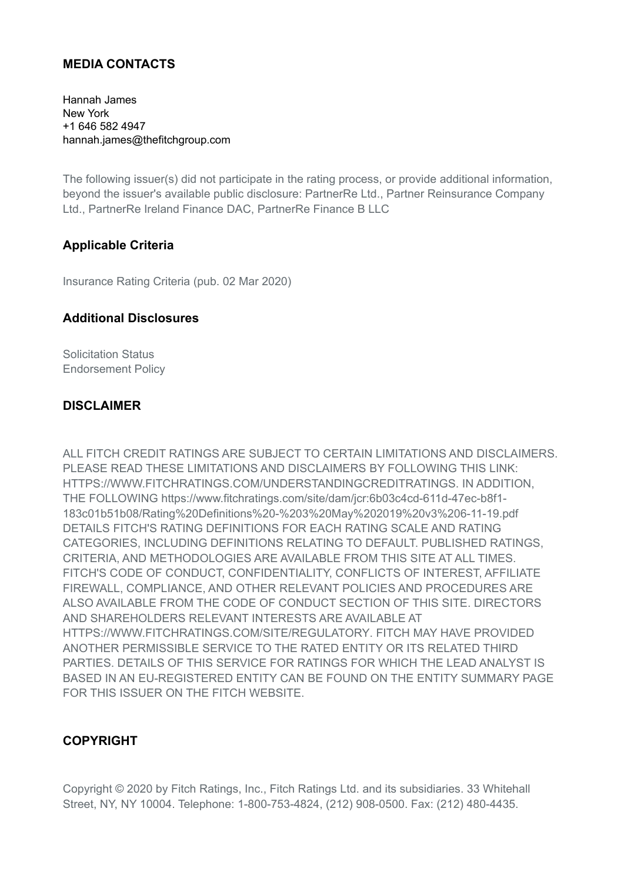#### **MEDIA CONTACTS**

Hannah James New York +1 646 582 4947 hannah.james@thefitchgroup.com

The following issuer(s) did not participate in the rating process, or provide additional information, beyond the issuer's available public disclosure: PartnerRe Ltd., Partner Reinsurance Company Ltd., PartnerRe Ireland Finance DAC, PartnerRe Finance B LLC

#### **Applicable Criteria**

Insurance Rating Criteria (pub. 02 Mar 2020)

#### **Additional Disclosures**

Solicitation Status Endorsement Policy

#### **DISCLAIMER**

ALL FITCH CREDIT RATINGS ARE SUBJECT TO CERTAIN LIMITATIONS AND DISCLAIMERS. PLEASE READ THESE LIMITATIONS AND DISCLAIMERS BY FOLLOWING THIS LINK: HTTPS://WWW.FITCHRATINGS.COM/UNDERSTANDINGCREDITRATINGS. IN ADDITION, THE FOLLOWING https://www.fitchratings.com/site/dam/jcr:6b03c4cd-611d-47ec-b8f1- 183c01b51b08/Rating%20Definitions%20-%203%20May%202019%20v3%206-11-19.pdf DETAILS FITCH'S RATING DEFINITIONS FOR EACH RATING SCALE AND RATING CATEGORIES, INCLUDING DEFINITIONS RELATING TO DEFAULT. PUBLISHED RATINGS, CRITERIA, AND METHODOLOGIES ARE AVAILABLE FROM THIS SITE AT ALL TIMES. FITCH'S CODE OF CONDUCT, CONFIDENTIALITY, CONFLICTS OF INTEREST, AFFILIATE FIREWALL, COMPLIANCE, AND OTHER RELEVANT POLICIES AND PROCEDURES ARE ALSO AVAILABLE FROM THE CODE OF CONDUCT SECTION OF THIS SITE. DIRECTORS AND SHAREHOLDERS RELEVANT INTERESTS ARE AVAILABLE AT HTTPS://WWW.FITCHRATINGS.COM/SITE/REGULATORY. FITCH MAY HAVE PROVIDED ANOTHER PERMISSIBLE SERVICE TO THE RATED ENTITY OR ITS RELATED THIRD PARTIES. DETAILS OF THIS SERVICE FOR RATINGS FOR WHICH THE LEAD ANALYST IS BASED IN AN EU-REGISTERED ENTITY CAN BE FOUND ON THE ENTITY SUMMARY PAGE FOR THIS ISSUER ON THE FITCH WEBSITE.

### **COPYRIGHT**

Copyright © 2020 by Fitch Ratings, Inc., Fitch Ratings Ltd. and its subsidiaries. 33 Whitehall Street, NY, NY 10004. Telephone: 1-800-753-4824, (212) 908-0500. Fax: (212) 480-4435.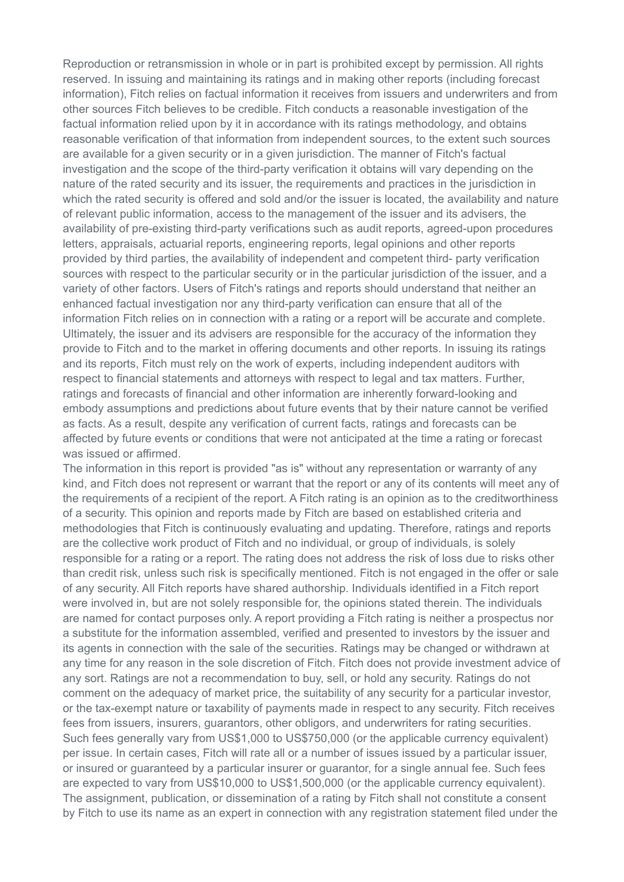Reproduction or retransmission in whole or in part is prohibited except by permission. All rights reserved. In issuing and maintaining its ratings and in making other reports (including forecast information), Fitch relies on factual information it receives from issuers and underwriters and from other sources Fitch believes to be credible. Fitch conducts a reasonable investigation of the factual information relied upon by it in accordance with its ratings methodology, and obtains reasonable verification of that information from independent sources, to the extent such sources are available for a given security or in a given jurisdiction. The manner of Fitch's factual investigation and the scope of the third-party verification it obtains will vary depending on the nature of the rated security and its issuer, the requirements and practices in the jurisdiction in which the rated security is offered and sold and/or the issuer is located, the availability and nature of relevant public information, access to the management of the issuer and its advisers, the availability of pre-existing third-party verifications such as audit reports, agreed-upon procedures letters, appraisals, actuarial reports, engineering reports, legal opinions and other reports provided by third parties, the availability of independent and competent third- party verification sources with respect to the particular security or in the particular jurisdiction of the issuer, and a variety of other factors. Users of Fitch's ratings and reports should understand that neither an enhanced factual investigation nor any third-party verification can ensure that all of the information Fitch relies on in connection with a rating or a report will be accurate and complete. Ultimately, the issuer and its advisers are responsible for the accuracy of the information they provide to Fitch and to the market in offering documents and other reports. In issuing its ratings and its reports, Fitch must rely on the work of experts, including independent auditors with respect to financial statements and attorneys with respect to legal and tax matters. Further, ratings and forecasts of financial and other information are inherently forward-looking and embody assumptions and predictions about future events that by their nature cannot be verified as facts. As a result, despite any verification of current facts, ratings and forecasts can be affected by future events or conditions that were not anticipated at the time a rating or forecast was issued or affirmed.

The information in this report is provided "as is" without any representation or warranty of any kind, and Fitch does not represent or warrant that the report or any of its contents will meet any of the requirements of a recipient of the report. A Fitch rating is an opinion as to the creditworthiness of a security. This opinion and reports made by Fitch are based on established criteria and methodologies that Fitch is continuously evaluating and updating. Therefore, ratings and reports are the collective work product of Fitch and no individual, or group of individuals, is solely responsible for a rating or a report. The rating does not address the risk of loss due to risks other than credit risk, unless such risk is specifically mentioned. Fitch is not engaged in the offer or sale of any security. All Fitch reports have shared authorship. Individuals identified in a Fitch report were involved in, but are not solely responsible for, the opinions stated therein. The individuals are named for contact purposes only. A report providing a Fitch rating is neither a prospectus nor a substitute for the information assembled, verified and presented to investors by the issuer and its agents in connection with the sale of the securities. Ratings may be changed or withdrawn at any time for any reason in the sole discretion of Fitch. Fitch does not provide investment advice of any sort. Ratings are not a recommendation to buy, sell, or hold any security. Ratings do not comment on the adequacy of market price, the suitability of any security for a particular investor, or the tax-exempt nature or taxability of payments made in respect to any security. Fitch receives fees from issuers, insurers, guarantors, other obligors, and underwriters for rating securities. Such fees generally vary from US\$1,000 to US\$750,000 (or the applicable currency equivalent) per issue. In certain cases, Fitch will rate all or a number of issues issued by a particular issuer, or insured or guaranteed by a particular insurer or guarantor, for a single annual fee. Such fees are expected to vary from US\$10,000 to US\$1,500,000 (or the applicable currency equivalent). The assignment, publication, or dissemination of a rating by Fitch shall not constitute a consent by Fitch to use its name as an expert in connection with any registration statement filed under the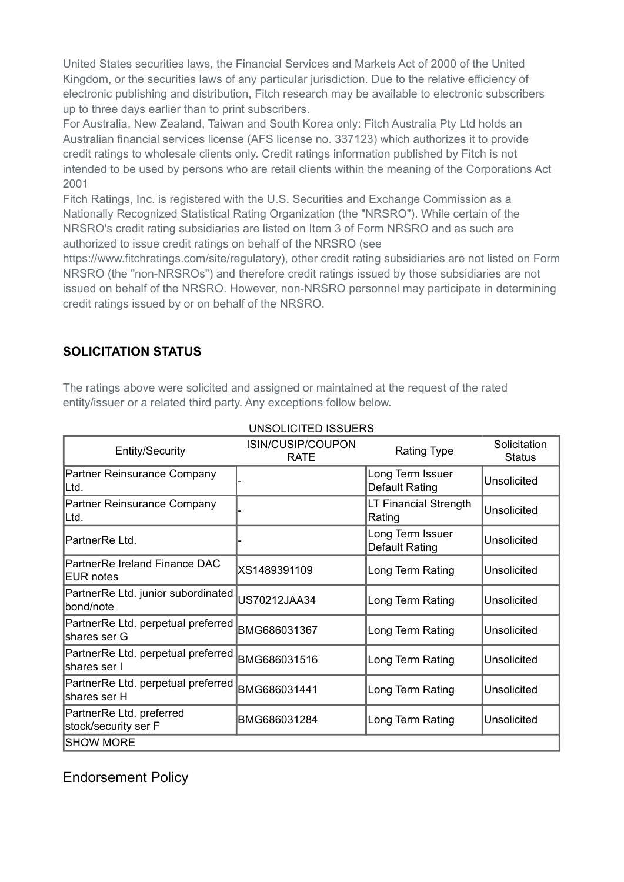United States securities laws, the Financial Services and Markets Act of 2000 of the United Kingdom, or the securities laws of any particular jurisdiction. Due to the relative efficiency of electronic publishing and distribution, Fitch research may be available to electronic subscribers up to three days earlier than to print subscribers.

For Australia, New Zealand, Taiwan and South Korea only: Fitch Australia Pty Ltd holds an Australian financial services license (AFS license no. 337123) which authorizes it to provide credit ratings to wholesale clients only. Credit ratings information published by Fitch is not intended to be used by persons who are retail clients within the meaning of the Corporations Act 2001

Fitch Ratings, Inc. is registered with the U.S. Securities and Exchange Commission as a Nationally Recognized Statistical Rating Organization (the "NRSRO"). While certain of the NRSRO's credit rating subsidiaries are listed on Item 3 of Form NRSRO and as such are authorized to issue credit ratings on behalf of the NRSRO (see

https://www.fitchratings.com/site/regulatory), other credit rating subsidiaries are not listed on Form NRSRO (the "non-NRSROs") and therefore credit ratings issued by those subsidiaries are not issued on behalf of the NRSRO. However, non-NRSRO personnel may participate in determining credit ratings issued by or on behalf of the NRSRO.

# **SOLICITATION STATUS**

The ratings above were solicited and assigned or maintained at the request of the rated entity/issuer or a related third party. Any exceptions follow below.

| <b>Entity/Security</b>                             | ISIN/CUSIP/COUPON<br><b>RATE</b> | <b>Rating Type</b>                        | Solicitation<br><b>Status</b> |
|----------------------------------------------------|----------------------------------|-------------------------------------------|-------------------------------|
| Partner Reinsurance Company<br>Ltd.                |                                  | Long Term Issuer<br><b>Default Rating</b> | <b>Unsolicited</b>            |
| Partner Reinsurance Company<br>Ltd.                |                                  | LT Financial Strength<br>Rating           | Unsolicited                   |
| PartnerRe Ltd.                                     |                                  | Long Term Issuer<br>Default Rating        | <b>Unsolicited</b>            |
| PartnerRe Ireland Finance DAC<br><b>EUR notes</b>  | XS1489391109                     | Long Term Rating                          | Unsolicited                   |
| PartnerRe Ltd. junior subordinated<br>bond/note    | US70212JAA34                     | Long Term Rating                          | Unsolicited                   |
| PartnerRe Ltd. perpetual preferred<br>shares ser G | BMG686031367                     | Long Term Rating                          | Unsolicited                   |
| PartnerRe Ltd. perpetual preferred<br>shares ser I | BMG686031516                     | Long Term Rating                          | Unsolicited                   |
| PartnerRe Ltd. perpetual preferred<br>shares ser H | BMG686031441                     | Long Term Rating                          | Unsolicited                   |
| PartnerRe Ltd. preferred<br>stock/security ser F   | BMG686031284                     | Long Term Rating                          | Unsolicited                   |
| <b>SHOW MORE</b>                                   |                                  |                                           |                               |

UNSOLICITED ISSUERS

Endorsement Policy